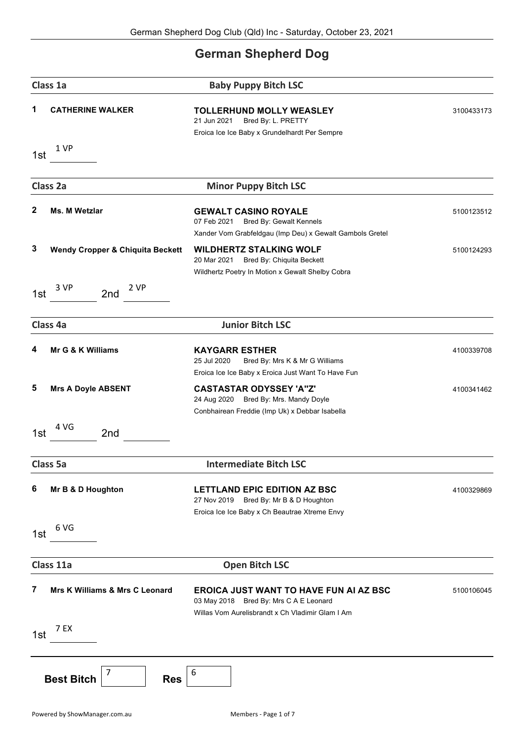## **German Shepherd Dog**

|              | Class 1a                                    | <b>Baby Puppy Bitch LSC</b>                                                                                                                 |            |
|--------------|---------------------------------------------|---------------------------------------------------------------------------------------------------------------------------------------------|------------|
| 1            | <b>CATHERINE WALKER</b>                     | <b>TOLLERHUND MOLLY WEASLEY</b><br>21 Jun 2021<br>Bred By: L. PRETTY<br>Eroica Ice Ice Baby x Grundelhardt Per Sempre                       | 3100433173 |
| 1st          | 1 VP                                        |                                                                                                                                             |            |
|              | Class 2a                                    | <b>Minor Puppy Bitch LSC</b>                                                                                                                |            |
| $\mathbf{2}$ | Ms. M Wetzlar                               | <b>GEWALT CASINO ROYALE</b><br>07 Feb 2021<br>Bred By: Gewalt Kennels<br>Xander Vom Grabfeldgau (Imp Deu) x Gewalt Gambols Gretel           | 5100123512 |
| 3            | <b>Wendy Cropper &amp; Chiquita Beckett</b> | <b>WILDHERTZ STALKING WOLF</b><br>20 Mar 2021<br>Bred By: Chiquita Beckett<br>Wildhertz Poetry In Motion x Gewalt Shelby Cobra              | 5100124293 |
| 1st          | 3 VP<br>2 VP<br>2nd                         |                                                                                                                                             |            |
|              | Class 4a                                    | <b>Junior Bitch LSC</b>                                                                                                                     |            |
| 4            | Mr G & K Williams                           | <b>KAYGARR ESTHER</b><br>25 Jul 2020<br>Bred By: Mrs K & Mr G Williams<br>Eroica Ice Ice Baby x Eroica Just Want To Have Fun                | 4100339708 |
| 5            | <b>Mrs A Doyle ABSENT</b>                   | <b>CASTASTAR ODYSSEY 'A"Z'</b><br>24 Aug 2020 Bred By: Mrs. Mandy Doyle<br>Conbhairean Freddie (Imp Uk) x Debbar Isabella                   | 4100341462 |
| 1st          | 4 VG<br>2nd                                 |                                                                                                                                             |            |
|              | <b>Class 5a</b>                             | <b>Intermediate Bitch LSC</b>                                                                                                               |            |
| 6            | Mr B & D Houghton                           | <b>LETTLAND EPIC EDITION AZ BSC</b><br>27 Nov 2019<br>Bred By: Mr B & D Houghton<br>Eroica Ice Ice Baby x Ch Beautrae Xtreme Envy           | 4100329869 |
| 1st          | 6 VG                                        |                                                                                                                                             |            |
|              | Class 11a                                   | <b>Open Bitch LSC</b>                                                                                                                       |            |
| 7            | Mrs K Williams & Mrs C Leonard              | <b>EROICA JUST WANT TO HAVE FUN AI AZ BSC</b><br>03 May 2018 Bred By: Mrs C A E Leonard<br>Willas Vom Aurelisbrandt x Ch Vladimir Glam I Am | 5100106045 |
| 1st          | 7 EX                                        |                                                                                                                                             |            |
|              | 7<br><b>Best Bitch</b><br><b>Res</b>        | 6                                                                                                                                           |            |

Powered by ShowManager.com.au and all the Members - Page 1 of 7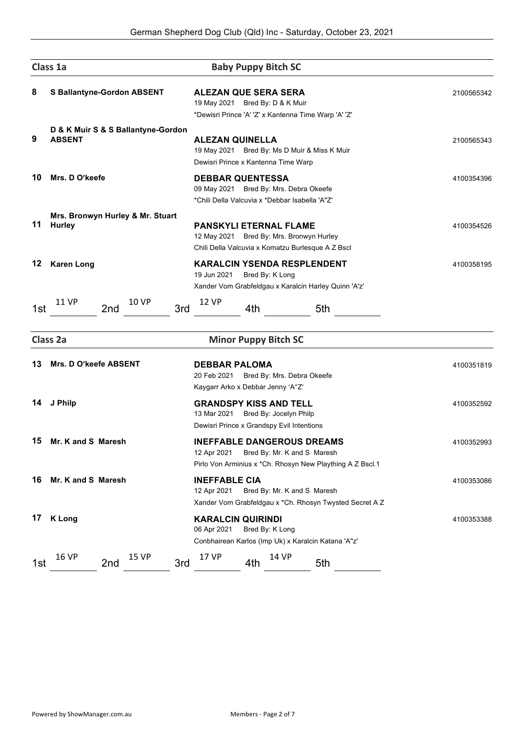|     | Class 1a                                            | <b>Baby Puppy Bitch SC</b>                                                                                                                   |            |
|-----|-----------------------------------------------------|----------------------------------------------------------------------------------------------------------------------------------------------|------------|
| 8   | <b>S Ballantyne-Gordon ABSENT</b>                   | <b>ALEZAN QUE SERA SERA</b><br>19 May 2021 Bred By: D & K Muir<br>*Dewisri Prince 'A' 'Z' x Kantenna Time Warp 'A' 'Z'                       | 2100565342 |
| 9   | D & K Muir S & S Ballantyne-Gordon<br><b>ABSENT</b> | <b>ALEZAN QUINELLA</b><br>19 May 2021 Bred By: Ms D Muir & Miss K Muir<br>Dewisri Prince x Kantenna Time Warp                                | 2100565343 |
| 10  | Mrs. D O'keefe                                      | <b>DEBBAR QUENTESSA</b><br>09 May 2021 Bred By: Mrs. Debra Okeefe<br>*Chili Della Valcuvia x *Debbar Isabella 'A"Z'                          | 4100354396 |
| 11  | Mrs. Bronwyn Hurley & Mr. Stuart<br><b>Hurley</b>   | <b>PANSKYLI ETERNAL FLAME</b><br>12 May 2021 Bred By: Mrs. Bronwyn Hurley<br>Chili Della Valcuvia x Komatzu Burlesque A Z Bscl               | 4100354526 |
| 12  | <b>Karen Long</b>                                   | <b>KARALCIN YSENDA RESPLENDENT</b><br>19 Jun 2021<br>Bred By: K Long<br>Xander Vom Grabfeldgau x Karalcin Harley Quinn 'A'z'                 | 4100358195 |
| 1st | <b>11 VP</b><br><b>10 VP</b><br>2nd                 | <b>12 VP</b><br>3rd<br>4th<br>5th                                                                                                            |            |
|     | Class 2a                                            | <b>Minor Puppy Bitch SC</b>                                                                                                                  |            |
| 13  | <b>Mrs. D O'keefe ABSENT</b>                        | <b>DEBBAR PALOMA</b><br>20 Feb 2021<br>Bred By: Mrs. Debra Okeefe<br>Kaygarr Arko x Debbar Jenny 'A"Z'                                       | 4100351819 |
| 14  | J Philp                                             | <b>GRANDSPY KISS AND TELL</b><br>13 Mar 2021<br>Bred By: Jocelyn Philp<br>Dewisri Prince x Grandspy Evil Intentions                          | 4100352592 |
| 15  | Mr. K and S Maresh                                  | <b>INEFFABLE DANGEROUS DREAMS</b><br>Bred By: Mr. K and S Maresh<br>12 Apr 2021<br>Pirlo Von Arminius x *Ch. Rhosyn New Plaything A Z Bscl.1 | 4100352993 |
| 16  | Mr. K and S Maresh                                  | <b>INEFFABLE CIA</b><br>12 Apr 2021<br>Bred By: Mr. K and S Maresh<br>Xander Vom Grabfeldgau x *Ch. Rhosyn Twysted Secret A Z                | 4100353086 |
| 17  | <b>K</b> Long                                       | <b>KARALCIN QUIRINDI</b><br>06 Apr 2021<br>Bred By: K Long<br>Conbhairean Karlos (Imp Uk) x Karalcin Katana 'A"z'                            | 4100353388 |
|     | <b>16 VP</b><br>15 VP                               | 17 VP<br>14 VP                                                                                                                               |            |

1st 16 VP 2nd 15 VP 3rd 17 VP 4th 14 VP 5th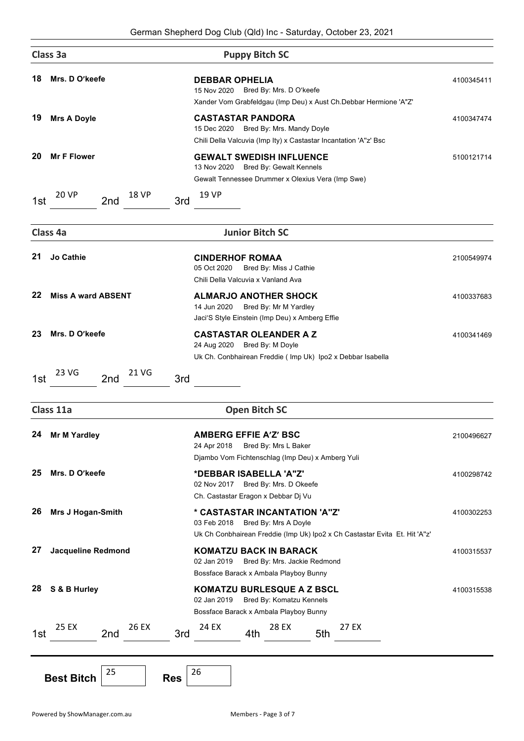|     | Class 3a                                   | <b>Puppy Bitch SC</b>                                                                                                                                      |            |
|-----|--------------------------------------------|------------------------------------------------------------------------------------------------------------------------------------------------------------|------------|
| 18  | Mrs. D O'keefe                             | <b>DEBBAR OPHELIA</b><br>Bred By: Mrs. D O'keefe<br>15 Nov 2020<br>Xander Vom Grabfeldgau (Imp Deu) x Aust Ch.Debbar Hermione 'A"Z'                        | 4100345411 |
| 19  | <b>Mrs A Doyle</b>                         | <b>CASTASTAR PANDORA</b><br>15 Dec 2020<br>Bred By: Mrs. Mandy Doyle<br>Chili Della Valcuvia (Imp Ity) x Castastar Incantation 'A"z' Bsc                   | 4100347474 |
| 20  | <b>Mr F Flower</b>                         | <b>GEWALT SWEDISH INFLUENCE</b><br>13 Nov 2020<br>Bred By: Gewalt Kennels<br>Gewalt Tennessee Drummer x Olexius Vera (Imp Swe)                             | 5100121714 |
| 1st | <b>20 VP</b><br><b>18 VP</b><br>2nd<br>3rd | 19 VP                                                                                                                                                      |            |
|     | Class 4a                                   | <b>Junior Bitch SC</b>                                                                                                                                     |            |
| 21  | <b>Jo Cathie</b>                           | <b>CINDERHOF ROMAA</b><br>05 Oct 2020<br>Bred By: Miss J Cathie<br>Chili Della Valcuvia x Vanland Ava                                                      | 2100549974 |
| 22  | <b>Miss A ward ABSENT</b>                  | <b>ALMARJO ANOTHER SHOCK</b><br>14 Jun 2020<br>Bred By: Mr M Yardley<br>Jaci'S Style Einstein (Imp Deu) x Amberg Effie                                     | 4100337683 |
| 23  | Mrs. D O'keefe                             | <b>CASTASTAR OLEANDER A Z</b><br>24 Aug 2020 Bred By: M Doyle<br>Uk Ch. Conbhairean Freddie (Imp Uk) Ipo2 x Debbar Isabella                                | 4100341469 |
| 1st | 23 VG<br>21 VG                             |                                                                                                                                                            |            |
|     | 3rd<br>2nd                                 |                                                                                                                                                            |            |
|     | Class 11a                                  | <b>Open Bitch SC</b>                                                                                                                                       |            |
|     | 24 Mr M Yardley                            | <b>AMBERG EFFIE A'Z' BSC</b><br>24 Apr 2018<br>Bred By: Mrs L Baker                                                                                        | 2100496627 |
| 25  | Mrs. D O'keefe                             | Djambo Vom Fichtenschlag (Imp Deu) x Amberg Yuli<br>*DEBBAR ISABELLA 'A"Z'<br>Bred By: Mrs. D Okeefe<br>02 Nov 2017<br>Ch. Castastar Eragon x Debbar Dj Vu | 4100298742 |
| 26  | Mrs J Hogan-Smith                          | * CASTASTAR INCANTATION 'A"Z"<br>03 Feb 2018<br>Bred By: Mrs A Doyle<br>Uk Ch Conbhairean Freddie (Imp Uk) Ipo2 x Ch Castastar Evita Et. Hit 'A"z'         | 4100302253 |
| 27  | <b>Jacqueline Redmond</b>                  | <b>KOMATZU BACK IN BARACK</b><br>02 Jan 2019<br>Bred By: Mrs. Jackie Redmond<br>Bossface Barack x Ambala Playboy Bunny                                     | 4100315537 |
| 28  | S & B Hurley                               | <b>KOMATZU BURLESQUE A Z BSCL</b><br>02 Jan 2019<br>Bred By: Komatzu Kennels<br>Bossface Barack x Ambala Playboy Bunny                                     | 4100315538 |
| 1st | 25 EX<br>26 EX<br>3rd<br>2nd               | 28 EX<br>27 EX<br>24 EX<br>5th<br>4th                                                                                                                      |            |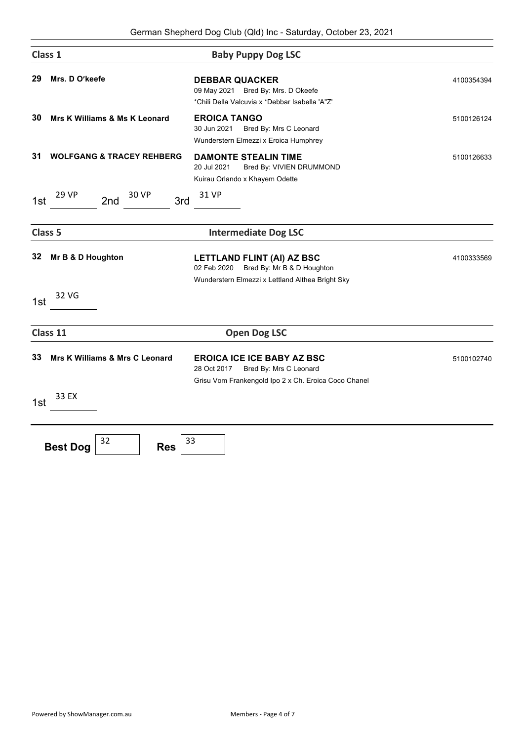| Class 1            |                                           | <b>Baby Puppy Dog LSC</b>                                                                                                          |            |  |
|--------------------|-------------------------------------------|------------------------------------------------------------------------------------------------------------------------------------|------------|--|
| 29                 | Mrs. D O'keefe                            | <b>DEBBAR QUACKER</b><br>09 May 2021 Bred By: Mrs. D Okeefe<br>*Chili Della Valcuvia x *Debbar Isabella 'A"Z'                      | 4100354394 |  |
| 30                 | Mrs K Williams & Ms K Leonard             | <b>EROICA TANGO</b><br>30 Jun 2021<br>Bred By: Mrs C Leonard<br>Wunderstern Elmezzi x Eroica Humphrey                              | 5100126124 |  |
| 31                 | <b>WOLFGANG &amp; TRACEY REHBERG</b>      | <b>DAMONTE STEALIN TIME</b><br>20 Jul 2021<br>Bred By: VIVIEN DRUMMOND<br>Kuirau Orlando x Khayem Odette                           | 5100126633 |  |
| 1st                | <b>29 VP</b><br>30 VP<br>2nd<br>3rd       | 31 VP                                                                                                                              |            |  |
| Class <sub>5</sub> |                                           | <b>Intermediate Dog LSC</b>                                                                                                        |            |  |
| 32                 | Mr B & D Houghton                         | <b>LETTLAND FLINT (AI) AZ BSC</b><br>Bred By: Mr B & D Houghton<br>02 Feb 2020<br>Wunderstern Elmezzi x Lettland Althea Bright Sky | 4100333569 |  |
| 1st                | 32 VG                                     |                                                                                                                                    |            |  |
|                    | Class 11                                  | <b>Open Dog LSC</b>                                                                                                                |            |  |
| 33                 | Mrs K Williams & Mrs C Leonard            | <b>EROICA ICE ICE BABY AZ BSC</b><br>28 Oct 2017<br>Bred By: Mrs C Leonard<br>Grisu Vom Frankengold Ipo 2 x Ch. Eroica Coco Chanel | 5100102740 |  |
| 1st                | 33 EX                                     |                                                                                                                                    |            |  |
|                    | 32<br>33<br><b>Best Dog</b><br><b>Res</b> |                                                                                                                                    |            |  |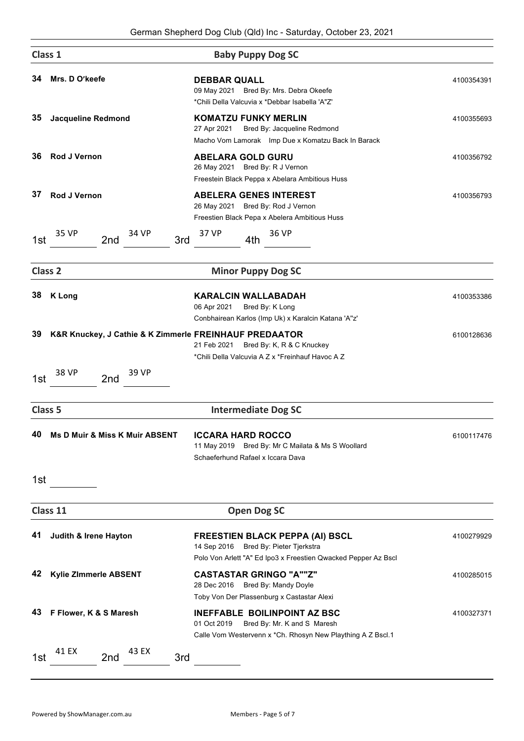| Class 1            |                                                        | <b>Baby Puppy Dog SC</b>                                                                                                                          |            |
|--------------------|--------------------------------------------------------|---------------------------------------------------------------------------------------------------------------------------------------------------|------------|
| 34                 | Mrs. D O'keefe                                         | <b>DEBBAR QUALL</b><br>09 May 2021 Bred By: Mrs. Debra Okeefe<br>*Chili Della Valcuvia x *Debbar Isabella 'A"Z'                                   | 4100354391 |
| 35                 | <b>Jacqueline Redmond</b>                              | <b>KOMATZU FUNKY MERLIN</b><br>27 Apr 2021<br>Bred By: Jacqueline Redmond<br>Macho Vom Lamorak Imp Due x Komatzu Back In Barack                   | 4100355693 |
| 36                 | <b>Rod J Vernon</b>                                    | <b>ABELARA GOLD GURU</b><br>26 May 2021 Bred By: R J Vernon<br>Freestein Black Peppa x Abelara Ambitious Huss                                     | 4100356792 |
| 37                 | <b>Rod J Vernon</b>                                    | <b>ABELERA GENES INTEREST</b><br>26 May 2021 Bred By: Rod J Vernon<br>Freestien Black Pepa x Abelera Ambitious Huss                               | 4100356793 |
| 1st                | 35 VP<br>34 VP<br>2nd<br>3rd                           | 36 VP<br>37 VP<br>4th                                                                                                                             |            |
| Class <sub>2</sub> |                                                        | <b>Minor Puppy Dog SC</b>                                                                                                                         |            |
| 38                 | <b>K</b> Long                                          | <b>KARALCIN WALLABADAH</b><br>06 Apr 2021<br>Bred By: K Long<br>Conbhairean Karlos (Imp Uk) x Karalcin Katana 'A"z'                               | 4100353386 |
| 39                 | K&R Knuckey, J Cathie & K Zimmerle FREINHAUF PREDAATOR | 21 Feb 2021<br>Bred By: K, R & C Knuckey<br>*Chili Della Valcuvia A Z x *Freinhauf Havoc A Z                                                      | 6100128636 |
| 1st                | 38 VP<br>39 VP<br>2nd                                  |                                                                                                                                                   |            |
| Class <sub>5</sub> |                                                        | <b>Intermediate Dog SC</b>                                                                                                                        |            |
| 40.                | Ms D Muir & Miss K Muir ABSENT                         | <b>ICCARA HARD ROCCO</b><br>11 May 2019 Bred By: Mr C Mailata & Ms S Woollard<br>Schaeferhund Rafael x Iccara Dava                                | 6100117476 |
| 1st                |                                                        |                                                                                                                                                   |            |
|                    | Class 11                                               | <b>Open Dog SC</b>                                                                                                                                |            |
| 41                 | Judith & Irene Hayton                                  | <b>FREESTIEN BLACK PEPPA (AI) BSCL</b><br>14 Sep 2016 Bred By: Pieter Tjerkstra<br>Polo Von Arlett "A" Ed Ipo3 x Freestien Qwacked Pepper Az Bscl | 4100279929 |
| 42                 | Kylie Zimmerle ABSENT                                  | <b>CASTASTAR GRINGO "A""Z"</b><br>28 Dec 2016<br>Bred By: Mandy Doyle<br>Toby Von Der Plassenburg x Castastar Alexi                               | 4100285015 |
| 43                 | F Flower, K & S Maresh                                 | <b>INEFFABLE BOILINPOINT AZ BSC</b><br>01 Oct 2019<br>Bred By: Mr. K and S Maresh<br>Calle Vom Westervenn x *Ch. Rhosyn New Plaything A Z Bscl.1  | 4100327371 |
| 1st                | 41 EX<br>43 EX<br>2nd<br>3rd                           |                                                                                                                                                   |            |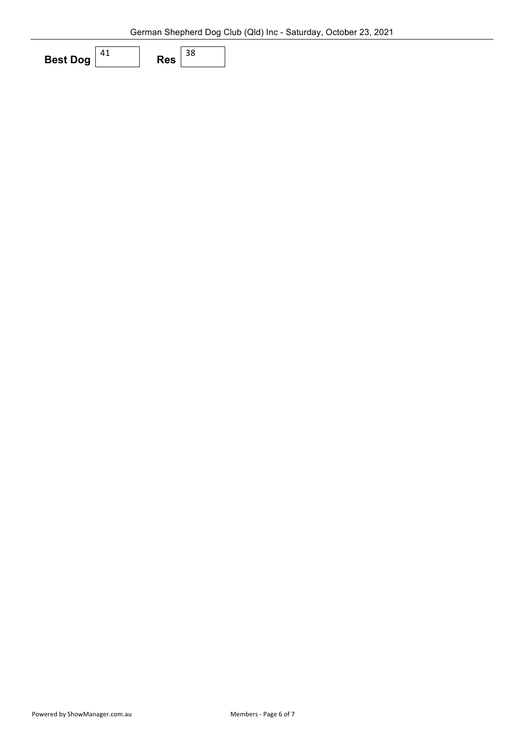| <b>Best Dog</b> | RAS |  |
|-----------------|-----|--|